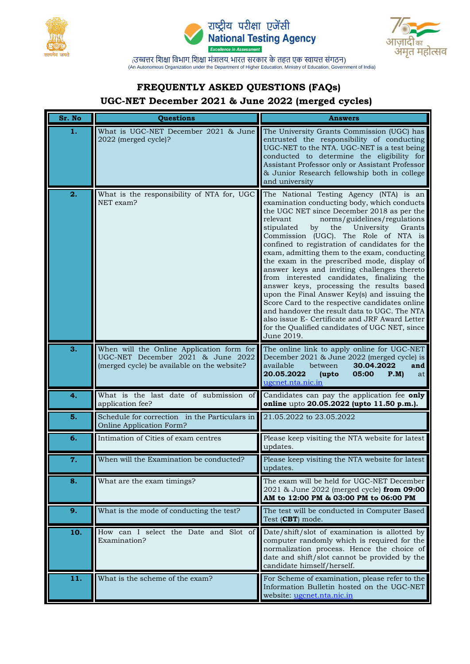





## **FREQUENTLY ASKED QUESTIONS (FAQs)**

## **UGC-NET December 2021 & June 2022 (merged cycles)**

| Sr. No | Questions                                                                                                                     | <b>Answers</b>                                                                                                                                                                                                                                                                                                                                                                                                                                                                                                                                                                                                                                                                                                                                                                                                                             |
|--------|-------------------------------------------------------------------------------------------------------------------------------|--------------------------------------------------------------------------------------------------------------------------------------------------------------------------------------------------------------------------------------------------------------------------------------------------------------------------------------------------------------------------------------------------------------------------------------------------------------------------------------------------------------------------------------------------------------------------------------------------------------------------------------------------------------------------------------------------------------------------------------------------------------------------------------------------------------------------------------------|
| 1.     | What is UGC-NET December 2021 & June<br>2022 (merged cycle)?                                                                  | The University Grants Commission (UGC) has<br>entrusted the responsibility of conducting<br>UGC-NET to the NTA. UGC-NET is a test being<br>conducted to determine the eligibility for<br>Assistant Professor only or Assistant Professor<br>& Junior Research fellowship both in college<br>and university                                                                                                                                                                                                                                                                                                                                                                                                                                                                                                                                 |
| 2.     | What is the responsibility of NTA for, UGC<br>NET exam?                                                                       | The National Testing Agency (NTA) is an<br>examination conducting body, which conducts<br>the UGC NET since December 2018 as per the<br>relevant<br>norms/guidelines/regulations<br>stipulated<br>by<br>the<br>University<br>Grants<br>Commission (UGC). The Role of NTA is<br>confined to registration of candidates for the<br>exam, admitting them to the exam, conducting<br>the exam in the prescribed mode, display of<br>answer keys and inviting challenges thereto<br>from interested candidates, finalizing the<br>answer keys, processing the results based<br>upon the Final Answer Key(s) and issuing the<br>Score Card to the respective candidates online<br>and handover the result data to UGC. The NTA<br>also issue E- Certificate and JRF Award Letter<br>for the Qualified candidates of UGC NET, since<br>June 2019. |
| 3.     | When will the Online Application form for<br>UGC-NET December 2021 & June 2022<br>(merged cycle) be available on the website? | The online link to apply online for UGC-NET<br>December 2021 & June 2022 (merged cycle) is<br>available<br>between<br>30.04.2022<br>and<br>20.05.2022<br>05:00<br>P.M<br>(upto<br>at<br>ugcnet.nta.nic.in                                                                                                                                                                                                                                                                                                                                                                                                                                                                                                                                                                                                                                  |
| 4.     | What is the last date of submission of<br>application fee?                                                                    | Candidates can pay the application fee only<br>online upto 20.05.2022 (upto 11.50 p.m.).                                                                                                                                                                                                                                                                                                                                                                                                                                                                                                                                                                                                                                                                                                                                                   |
| 5.     | Schedule for correction in the Particulars in<br>Online Application Form?                                                     | 21.05.2022 to 23.05.2022                                                                                                                                                                                                                                                                                                                                                                                                                                                                                                                                                                                                                                                                                                                                                                                                                   |
| 6.     | Intimation of Cities of exam centres                                                                                          | Please keep visiting the NTA website for latest<br>updates.                                                                                                                                                                                                                                                                                                                                                                                                                                                                                                                                                                                                                                                                                                                                                                                |
| 7.     | When will the Examination be conducted?                                                                                       | Please keep visiting the NTA website for latest<br>updates.                                                                                                                                                                                                                                                                                                                                                                                                                                                                                                                                                                                                                                                                                                                                                                                |
| 8.     | What are the exam timings?                                                                                                    | The exam will be held for UGC-NET December<br>2021 & June 2022 (merged cycle) from 09:00<br>AM to 12:00 PM & 03:00 PM to 06:00 PM                                                                                                                                                                                                                                                                                                                                                                                                                                                                                                                                                                                                                                                                                                          |
| 9.     | What is the mode of conducting the test?                                                                                      | The test will be conducted in Computer Based<br>Test (CBT) mode.                                                                                                                                                                                                                                                                                                                                                                                                                                                                                                                                                                                                                                                                                                                                                                           |
| 10.    | How can I select the Date and Slot of<br>Examination?                                                                         | Date/shift/slot of examination is allotted by<br>computer randomly which is required for the<br>normalization process. Hence the choice of<br>date and shift/slot cannot be provided by the<br>candidate himself/herself.                                                                                                                                                                                                                                                                                                                                                                                                                                                                                                                                                                                                                  |
| 11.    | What is the scheme of the exam?                                                                                               | For Scheme of examination, please refer to the<br>Information Bulletin hosted on the UGC-NET<br>website: ugcnet.nta.nic.in                                                                                                                                                                                                                                                                                                                                                                                                                                                                                                                                                                                                                                                                                                                 |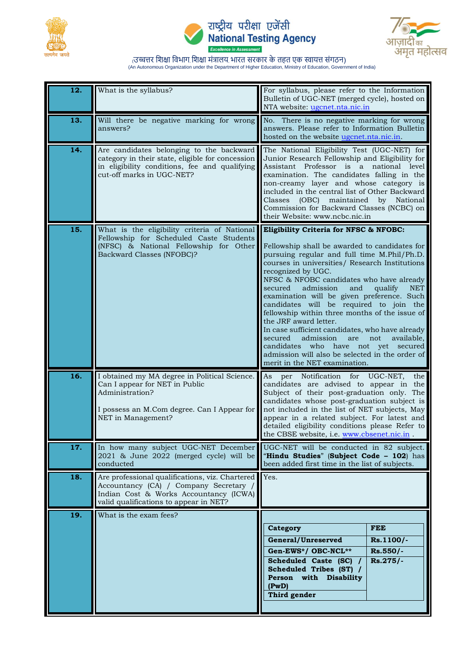





| 12. | What is the syllabus?                                                                                                                                                         | For syllabus, please refer to the Information<br>Bulletin of UGC-NET (merged cycle), hosted on<br>NTA website: ugcnet.nta.nic.in                                                                                                                                                                                                                                                                                                                                                                                                                                                                                                                                                                                         |
|-----|-------------------------------------------------------------------------------------------------------------------------------------------------------------------------------|--------------------------------------------------------------------------------------------------------------------------------------------------------------------------------------------------------------------------------------------------------------------------------------------------------------------------------------------------------------------------------------------------------------------------------------------------------------------------------------------------------------------------------------------------------------------------------------------------------------------------------------------------------------------------------------------------------------------------|
| 13. | Will there be negative marking for wrong<br>answers?                                                                                                                          | No. There is no negative marking for wrong<br>answers. Please refer to Information Bulletin<br>hosted on the website ugcnet.nta.nic.in.                                                                                                                                                                                                                                                                                                                                                                                                                                                                                                                                                                                  |
| 14. | Are candidates belonging to the backward<br>category in their state, eligible for concession<br>in eligibility conditions, fee and qualifying<br>cut-off marks in UGC-NET?    | The National Eligibility Test (UGC-NET) for<br>Junior Research Fellowship and Eligibility for<br>Assistant Professor is a national level<br>examination. The candidates falling in the<br>non-creamy layer and whose category is<br>included in the central list of Other Backward<br>Classes (OBC) maintained by National<br>Commission for Backward Classes (NCBC) on<br>their Website: www.ncbc.nic.in                                                                                                                                                                                                                                                                                                                |
| 15. | What is the eligibility criteria of National<br>Fellowship for Scheduled Caste Students<br>(NFSC) & National Fellowship for Other<br>Backward Classes (NFOBC)?                | Eligibility Criteria for NFSC & NFOBC:<br>Fellowship shall be awarded to candidates for<br>pursuing regular and full time M.Phil/Ph.D.<br>courses in universities/ Research Institutions<br>recognized by UGC.<br>NFSC & NFOBC candidates who have already<br>admission<br>and<br>qualify<br>secured<br><b>NET</b><br>examination will be given preference. Such<br>candidates will be required to join the<br>fellowship within three months of the issue of<br>the JRF award letter.<br>In case sufficient candidates, who have already<br>admission<br>secured<br>are<br>not<br>available,<br>candidates who have not yet secured<br>admission will also be selected in the order of<br>merit in the NET examination. |
| 16. | I obtained my MA degree in Political Science.<br>Can I appear for NET in Public<br>Administration?<br>I possess an M.Com degree. Can I Appear for<br>NET in Management?       | As<br>per Notification for UGC-NET,<br>the<br>candidates are advised to appear in the<br>Subject of their post-graduation only. The<br>candidates whose post-graduation subject is<br>not included in the list of NET subjects, May<br>appear in a related subject. For latest and<br>detailed eligibility conditions please Refer to<br>the CBSE website, i.e. www.chsenet.nic.in                                                                                                                                                                                                                                                                                                                                       |
| 17. | In how many subject UGC-NET December<br>2021 & June 2022 (merged cycle) will be<br>conducted                                                                                  | UGC-NET will be conducted in 82 subject.<br>"Hindu Studies" (Subject Code - 102) has<br>been added first time in the list of subjects.                                                                                                                                                                                                                                                                                                                                                                                                                                                                                                                                                                                   |
| 18. | Are professional qualifications, viz. Chartered<br>Accountancy (CA) / Company Secretary /<br>Indian Cost & Works Accountancy (ICWA)<br>valid qualifications to appear in NET? | Yes.                                                                                                                                                                                                                                                                                                                                                                                                                                                                                                                                                                                                                                                                                                                     |
| 19. | What is the exam fees?                                                                                                                                                        | <b>FEE</b><br>Category<br>General/Unreserved<br>Rs.1100/-<br>Gen-EWS*/ OBC-NCL**<br>$Rs.550/-$<br>Scheduled Caste (SC) /<br>Rs.275/-<br>Scheduled Tribes (ST) /<br>Person with Disability<br>(PwD)<br>Third gender                                                                                                                                                                                                                                                                                                                                                                                                                                                                                                       |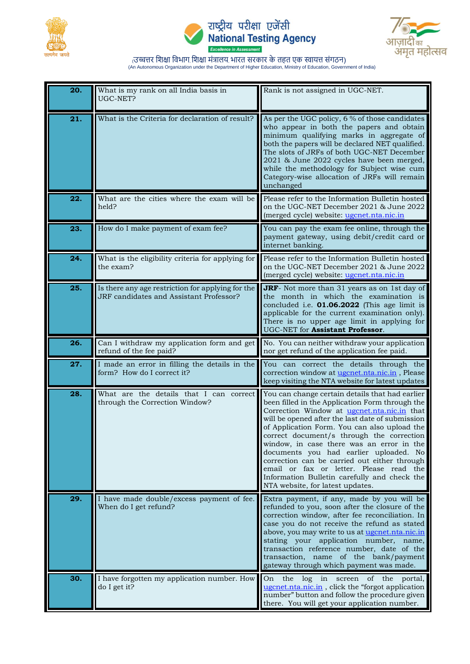





| 20. | What is my rank on all India basis in<br>UGC-NET?                                            | Rank is not assigned in UGC-NET.                                                                                                                                                                                                                                                                                                                                                                                                                                                                                                                                                |
|-----|----------------------------------------------------------------------------------------------|---------------------------------------------------------------------------------------------------------------------------------------------------------------------------------------------------------------------------------------------------------------------------------------------------------------------------------------------------------------------------------------------------------------------------------------------------------------------------------------------------------------------------------------------------------------------------------|
| 21. | What is the Criteria for declaration of result?                                              | As per the UGC policy, 6 % of those candidates<br>who appear in both the papers and obtain<br>minimum qualifying marks in aggregate of<br>both the papers will be declared NET qualified.<br>The slots of JRFs of both UGC-NET December<br>2021 & June 2022 cycles have been merged,<br>while the methodology for Subject wise cum<br>Category-wise allocation of JRFs will remain<br>unchanged                                                                                                                                                                                 |
| 22. | What are the cities where the exam will be<br>held?                                          | Please refer to the Information Bulletin hosted<br>on the UGC-NET December 2021 & June 2022<br>(merged cycle) website: ugcnet.nta.nic.in                                                                                                                                                                                                                                                                                                                                                                                                                                        |
| 23. | How do I make payment of exam fee?                                                           | You can pay the exam fee online, through the<br>payment gateway, using debit/credit card or<br>internet banking.                                                                                                                                                                                                                                                                                                                                                                                                                                                                |
| 24. | What is the eligibility criteria for applying for<br>the exam?                               | Please refer to the Information Bulletin hosted<br>on the UGC-NET December 2021 & June 2022<br>(merged cycle) website: ugcnet.nta.nic.in                                                                                                                                                                                                                                                                                                                                                                                                                                        |
| 25. | Is there any age restriction for applying for the<br>JRF candidates and Assistant Professor? | JRF- Not more than 31 years as on 1st day of<br>the month in which the examination is<br>concluded i.e. <b>01.06.2022</b> (This age limit is<br>applicable for the current examination only).<br>There is no upper age limit in applying for<br>UGC-NET for Assistant Professor.                                                                                                                                                                                                                                                                                                |
| 26. | Can I withdraw my application form and get<br>refund of the fee paid?                        | No. You can neither withdraw your application<br>nor get refund of the application fee paid.                                                                                                                                                                                                                                                                                                                                                                                                                                                                                    |
| 27. | I made an error in filling the details in the<br>form? How do I correct it?                  | You can correct the details through the<br>correction window at ugcnet.nta.nic.in, Please<br>keep visiting the NTA website for latest updates                                                                                                                                                                                                                                                                                                                                                                                                                                   |
| 28. | What are the details that I can correct<br>through the Correction Window?                    | You can change certain details that had earlier<br>been filled in the Application Form through the<br>Correction Window at <u>ugenet.nta.nic.in</u> that<br>will be opened after the last date of submission<br>of Application Form. You can also upload the<br>correct document/s through the correction<br>window, in case there was an error in the<br>documents you had earlier uploaded. No<br>correction can be carried out either through<br>email or fax or letter. Please read the<br>Information Bulletin carefully and check the<br>NTA website, for latest updates. |
| 29. | I have made double/excess payment of fee.<br>When do I get refund?                           | Extra payment, if any, made by you will be<br>refunded to you, soon after the closure of the<br>correction window, after fee reconciliation. In<br>case you do not receive the refund as stated<br>above, you may write to us at ugcnet.nta.nic.in<br>stating your application number, name,<br>transaction reference number, date of the<br>transaction, name of the bank/payment<br>gateway through which payment was made.                                                                                                                                                   |
| 30. | I have forgotten my application number. How<br>do I get it?                                  | On<br>the log in<br>screen<br>of the portal,<br>ugcnet.nta.nic.in, click the "forgot application<br>number" button and follow the procedure given<br>there. You will get your application number.                                                                                                                                                                                                                                                                                                                                                                               |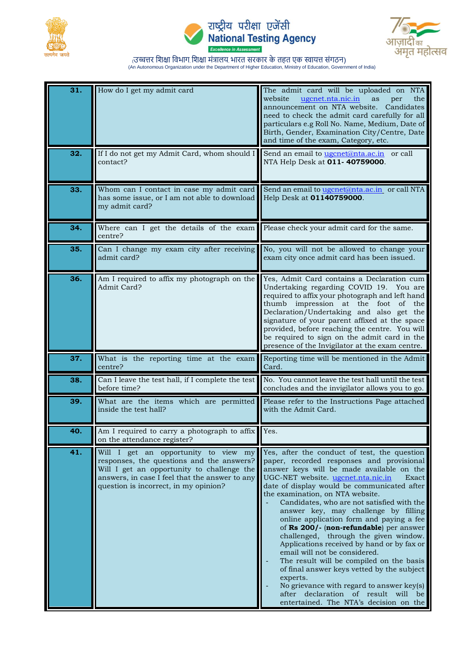





| 31. | How do I get my admit card                                                                                                                                                                                                 | The admit card will be uploaded on NTA<br>website<br>ugcnet.nta.nic.in<br>the<br>as<br>per<br>announcement on NTA website.<br>Candidates<br>need to check the admit card carefully for all<br>particulars e.g Roll No. Name, Medium, Date of<br>Birth, Gender, Examination City/Centre, Date<br>and time of the exam, Category, etc.                                                                                                                                                                                                                                                                                                                                                                                                                                                                              |
|-----|----------------------------------------------------------------------------------------------------------------------------------------------------------------------------------------------------------------------------|-------------------------------------------------------------------------------------------------------------------------------------------------------------------------------------------------------------------------------------------------------------------------------------------------------------------------------------------------------------------------------------------------------------------------------------------------------------------------------------------------------------------------------------------------------------------------------------------------------------------------------------------------------------------------------------------------------------------------------------------------------------------------------------------------------------------|
| 32. | If I do not get my Admit Card, whom should I<br>contact?                                                                                                                                                                   | Send an email to ugcnet@nta.ac.in or call<br>NTA Help Desk at 011-40759000.                                                                                                                                                                                                                                                                                                                                                                                                                                                                                                                                                                                                                                                                                                                                       |
| 33. | Whom can I contact in case my admit card<br>has some issue, or I am not able to download<br>my admit card?                                                                                                                 | Send an email to ugcnet@nta.ac.in or call NTA<br>Help Desk at 01140759000.                                                                                                                                                                                                                                                                                                                                                                                                                                                                                                                                                                                                                                                                                                                                        |
| 34. | Where can I get the details of the exam<br>centre?                                                                                                                                                                         | Please check your admit card for the same.                                                                                                                                                                                                                                                                                                                                                                                                                                                                                                                                                                                                                                                                                                                                                                        |
| 35. | Can I change my exam city after receiving<br>admit card?                                                                                                                                                                   | No, you will not be allowed to change your<br>exam city once admit card has been issued.                                                                                                                                                                                                                                                                                                                                                                                                                                                                                                                                                                                                                                                                                                                          |
| 36. | Am I required to affix my photograph on the<br>Admit Card?                                                                                                                                                                 | Yes, Admit Card contains a Declaration cum<br>Undertaking regarding COVID 19. You are<br>required to affix your photograph and left hand<br>thumb impression at the foot<br>of<br>the<br>Declaration/Undertaking and also get the<br>signature of your parent affixed at the space<br>provided, before reaching the centre. You will<br>be required to sign on the admit card in the<br>presence of the Invigilator at the exam centre.                                                                                                                                                                                                                                                                                                                                                                           |
| 37. | What is the reporting time at the exam<br>centre?                                                                                                                                                                          | Reporting time will be mentioned in the Admit<br>Card.                                                                                                                                                                                                                                                                                                                                                                                                                                                                                                                                                                                                                                                                                                                                                            |
| 38. | Can I leave the test hall, if I complete the test<br>before time?                                                                                                                                                          | No. You cannot leave the test hall until the test<br>concludes and the invigilator allows you to go.                                                                                                                                                                                                                                                                                                                                                                                                                                                                                                                                                                                                                                                                                                              |
| 39. | What are the items which are permitted<br>inside the test hall?                                                                                                                                                            | Please refer to the Instructions Page attached<br>with the Admit Card.                                                                                                                                                                                                                                                                                                                                                                                                                                                                                                                                                                                                                                                                                                                                            |
| 40. | Am I required to carry a photograph to affix Yes.<br>on the attendance register?                                                                                                                                           |                                                                                                                                                                                                                                                                                                                                                                                                                                                                                                                                                                                                                                                                                                                                                                                                                   |
| 41. | Will I get an opportunity to view my<br>responses, the questions and the answers?<br>Will I get an opportunity to challenge the<br>answers, in case I feel that the answer to any<br>question is incorrect, in my opinion? | Yes, after the conduct of test, the question<br>paper, recorded responses and provisional<br>answer keys will be made available on the<br>UGC-NET website. ugcnet.nta.nic.in<br>Exact<br>date of display would be communicated after<br>the examination, on NTA website.<br>Candidates, who are not satisfied with the<br>answer key, may challenge by filling<br>online application form and paying a fee<br>of Rs 200/- (non-refundable) per answer<br>challenged, through the given window.<br>Applications received by hand or by fax or<br>email will not be considered.<br>The result will be compiled on the basis<br>of final answer keys vetted by the subject<br>experts.<br>No grievance with regard to answer key(s)<br>after declaration of result will be<br>entertained. The NTA's decision on the |